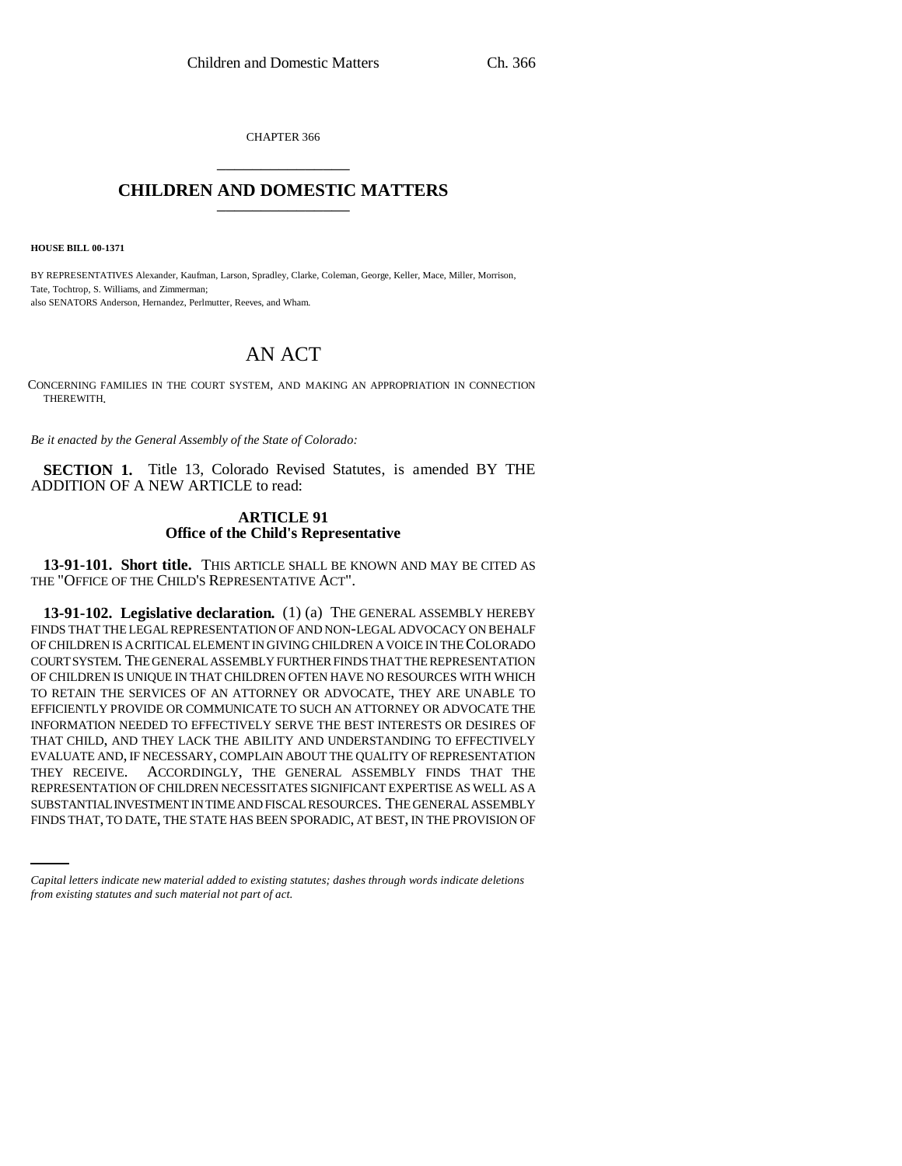CHAPTER 366 \_\_\_\_\_\_\_\_\_\_\_\_\_\_\_

## **CHILDREN AND DOMESTIC MATTERS** \_\_\_\_\_\_\_\_\_\_\_\_\_\_\_

**HOUSE BILL 00-1371** 

BY REPRESENTATIVES Alexander, Kaufman, Larson, Spradley, Clarke, Coleman, George, Keller, Mace, Miller, Morrison, Tate, Tochtrop, S. Williams, and Zimmerman; also SENATORS Anderson, Hernandez, Perlmutter, Reeves, and Wham.

# AN ACT

CONCERNING FAMILIES IN THE COURT SYSTEM, AND MAKING AN APPROPRIATION IN CONNECTION THEREWITH.

*Be it enacted by the General Assembly of the State of Colorado:*

**SECTION 1.** Title 13, Colorado Revised Statutes, is amended BY THE ADDITION OF A NEW ARTICLE to read:

### **ARTICLE 91 Office of the Child's Representative**

**13-91-101. Short title.** THIS ARTICLE SHALL BE KNOWN AND MAY BE CITED AS THE "OFFICE OF THE CHILD'S REPRESENTATIVE ACT".

REPRESENTATION OF CHILDREN NECESSITATES SIGNIFICANT EXPERTISE AS WELL AS A **13-91-102. Legislative declaration.** (1) (a) THE GENERAL ASSEMBLY HEREBY FINDS THAT THE LEGAL REPRESENTATION OF AND NON-LEGAL ADVOCACY ON BEHALF OF CHILDREN IS A CRITICAL ELEMENT IN GIVING CHILDREN A VOICE IN THE COLORADO COURT SYSTEM. THE GENERAL ASSEMBLY FURTHER FINDS THAT THE REPRESENTATION OF CHILDREN IS UNIQUE IN THAT CHILDREN OFTEN HAVE NO RESOURCES WITH WHICH TO RETAIN THE SERVICES OF AN ATTORNEY OR ADVOCATE, THEY ARE UNABLE TO EFFICIENTLY PROVIDE OR COMMUNICATE TO SUCH AN ATTORNEY OR ADVOCATE THE INFORMATION NEEDED TO EFFECTIVELY SERVE THE BEST INTERESTS OR DESIRES OF THAT CHILD, AND THEY LACK THE ABILITY AND UNDERSTANDING TO EFFECTIVELY EVALUATE AND, IF NECESSARY, COMPLAIN ABOUT THE QUALITY OF REPRESENTATION THEY RECEIVE. ACCORDINGLY, THE GENERAL ASSEMBLY FINDS THAT THE SUBSTANTIAL INVESTMENT IN TIME AND FISCAL RESOURCES. THE GENERAL ASSEMBLY FINDS THAT, TO DATE, THE STATE HAS BEEN SPORADIC, AT BEST, IN THE PROVISION OF

*Capital letters indicate new material added to existing statutes; dashes through words indicate deletions from existing statutes and such material not part of act.*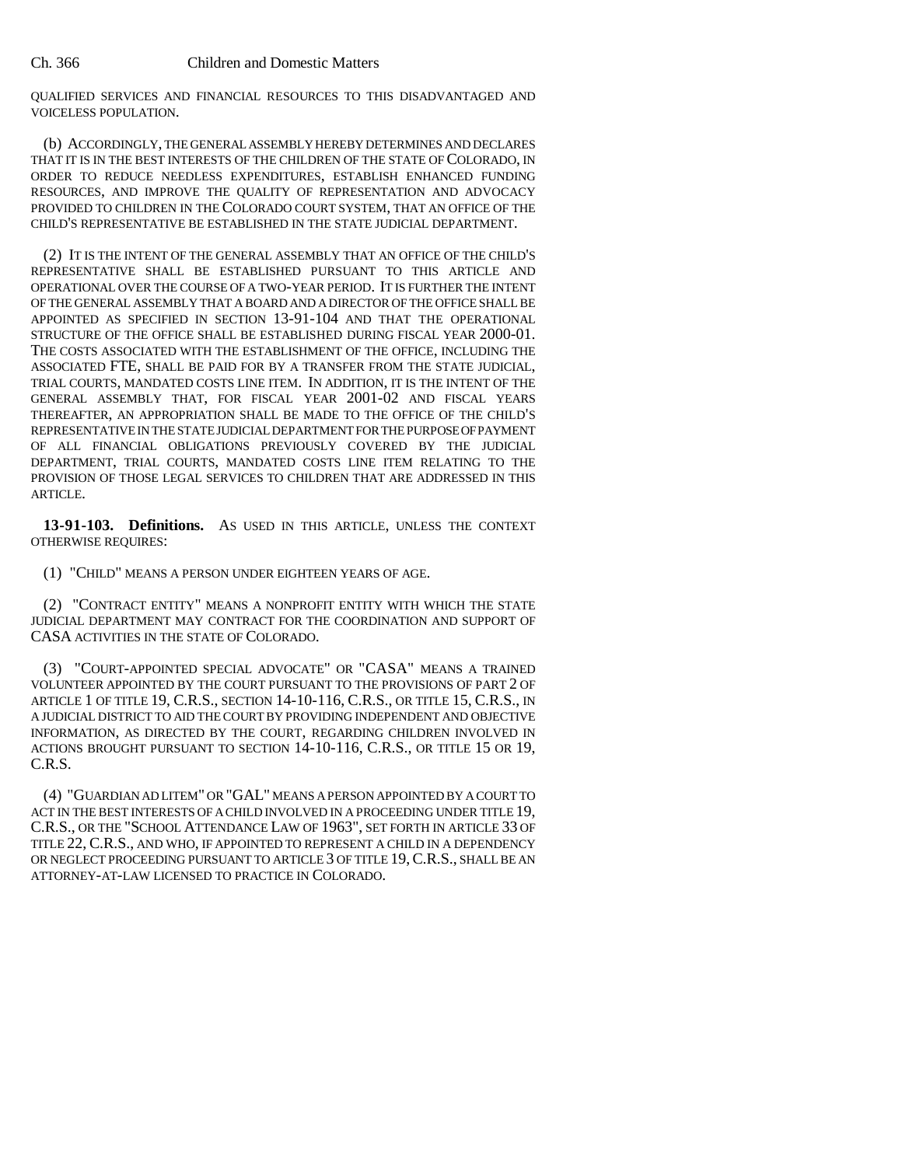QUALIFIED SERVICES AND FINANCIAL RESOURCES TO THIS DISADVANTAGED AND VOICELESS POPULATION.

(b) ACCORDINGLY, THE GENERAL ASSEMBLY HEREBY DETERMINES AND DECLARES THAT IT IS IN THE BEST INTERESTS OF THE CHILDREN OF THE STATE OF COLORADO, IN ORDER TO REDUCE NEEDLESS EXPENDITURES, ESTABLISH ENHANCED FUNDING RESOURCES, AND IMPROVE THE QUALITY OF REPRESENTATION AND ADVOCACY PROVIDED TO CHILDREN IN THE COLORADO COURT SYSTEM, THAT AN OFFICE OF THE CHILD'S REPRESENTATIVE BE ESTABLISHED IN THE STATE JUDICIAL DEPARTMENT.

(2) IT IS THE INTENT OF THE GENERAL ASSEMBLY THAT AN OFFICE OF THE CHILD'S REPRESENTATIVE SHALL BE ESTABLISHED PURSUANT TO THIS ARTICLE AND OPERATIONAL OVER THE COURSE OF A TWO-YEAR PERIOD. IT IS FURTHER THE INTENT OF THE GENERAL ASSEMBLY THAT A BOARD AND A DIRECTOR OF THE OFFICE SHALL BE APPOINTED AS SPECIFIED IN SECTION 13-91-104 AND THAT THE OPERATIONAL STRUCTURE OF THE OFFICE SHALL BE ESTABLISHED DURING FISCAL YEAR 2000-01. THE COSTS ASSOCIATED WITH THE ESTABLISHMENT OF THE OFFICE, INCLUDING THE ASSOCIATED FTE, SHALL BE PAID FOR BY A TRANSFER FROM THE STATE JUDICIAL, TRIAL COURTS, MANDATED COSTS LINE ITEM. IN ADDITION, IT IS THE INTENT OF THE GENERAL ASSEMBLY THAT, FOR FISCAL YEAR 2001-02 AND FISCAL YEARS THEREAFTER, AN APPROPRIATION SHALL BE MADE TO THE OFFICE OF THE CHILD'S REPRESENTATIVE IN THE STATE JUDICIAL DEPARTMENT FOR THE PURPOSE OF PAYMENT OF ALL FINANCIAL OBLIGATIONS PREVIOUSLY COVERED BY THE JUDICIAL DEPARTMENT, TRIAL COURTS, MANDATED COSTS LINE ITEM RELATING TO THE PROVISION OF THOSE LEGAL SERVICES TO CHILDREN THAT ARE ADDRESSED IN THIS ARTICLE.

**13-91-103. Definitions.** AS USED IN THIS ARTICLE, UNLESS THE CONTEXT OTHERWISE REQUIRES:

(1) "CHILD" MEANS A PERSON UNDER EIGHTEEN YEARS OF AGE.

(2) "CONTRACT ENTITY" MEANS A NONPROFIT ENTITY WITH WHICH THE STATE JUDICIAL DEPARTMENT MAY CONTRACT FOR THE COORDINATION AND SUPPORT OF CASA ACTIVITIES IN THE STATE OF COLORADO.

(3) "COURT-APPOINTED SPECIAL ADVOCATE" OR "CASA" MEANS A TRAINED VOLUNTEER APPOINTED BY THE COURT PURSUANT TO THE PROVISIONS OF PART 2 OF ARTICLE 1 OF TITLE 19, C.R.S., SECTION 14-10-116, C.R.S., OR TITLE 15, C.R.S., IN A JUDICIAL DISTRICT TO AID THE COURT BY PROVIDING INDEPENDENT AND OBJECTIVE INFORMATION, AS DIRECTED BY THE COURT, REGARDING CHILDREN INVOLVED IN ACTIONS BROUGHT PURSUANT TO SECTION 14-10-116, C.R.S., OR TITLE 15 OR 19, C.R.S.

(4) "GUARDIAN AD LITEM" OR "GAL" MEANS A PERSON APPOINTED BY A COURT TO ACT IN THE BEST INTERESTS OF A CHILD INVOLVED IN A PROCEEDING UNDER TITLE 19, C.R.S., OR THE "SCHOOL ATTENDANCE LAW OF 1963", SET FORTH IN ARTICLE 33 OF TITLE 22, C.R.S., AND WHO, IF APPOINTED TO REPRESENT A CHILD IN A DEPENDENCY OR NEGLECT PROCEEDING PURSUANT TO ARTICLE 3 OF TITLE 19,C.R.S., SHALL BE AN ATTORNEY-AT-LAW LICENSED TO PRACTICE IN COLORADO.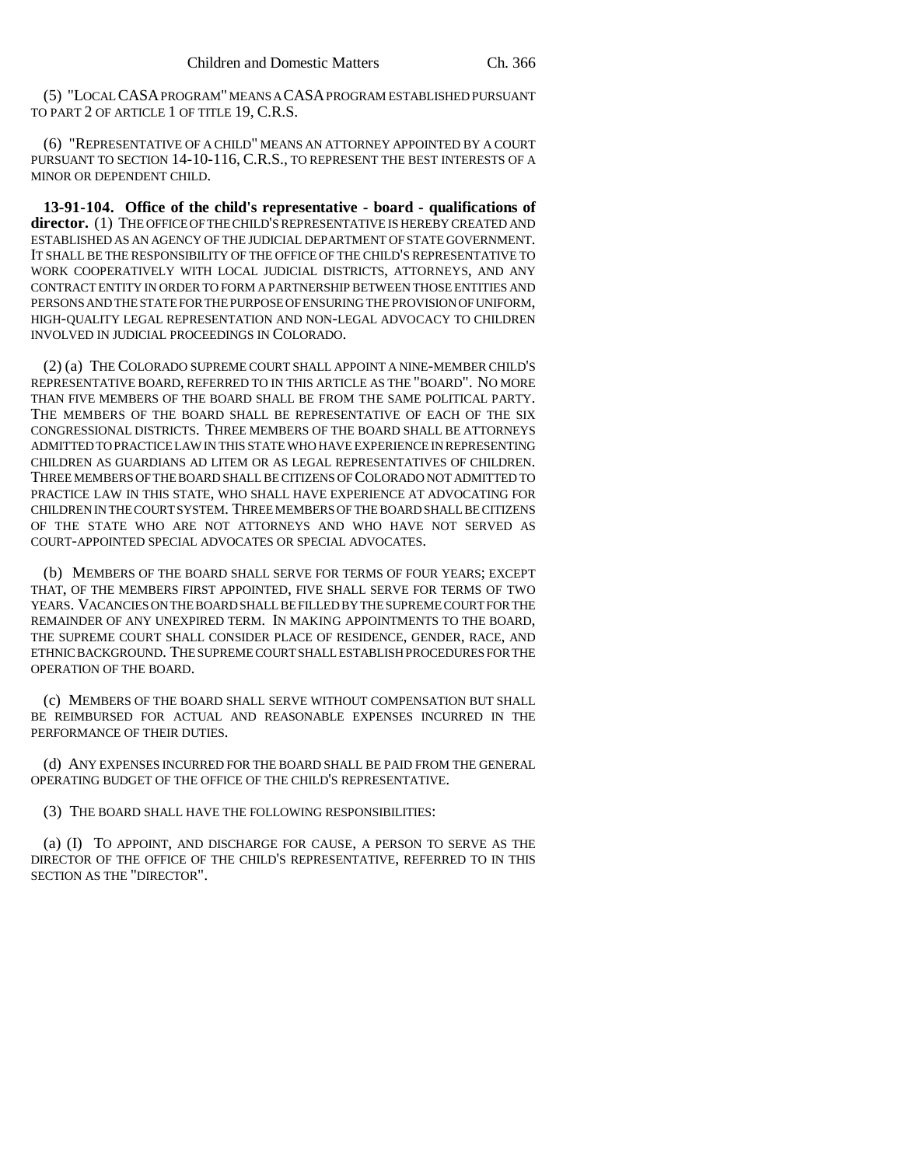(5) "LOCAL CASA PROGRAM" MEANS A CASA PROGRAM ESTABLISHED PURSUANT TO PART 2 OF ARTICLE 1 OF TITLE 19, C.R.S.

(6) "REPRESENTATIVE OF A CHILD" MEANS AN ATTORNEY APPOINTED BY A COURT PURSUANT TO SECTION 14-10-116, C.R.S., TO REPRESENT THE BEST INTERESTS OF A MINOR OR DEPENDENT CHILD.

**13-91-104. Office of the child's representative - board - qualifications of director.** (1) THE OFFICE OF THE CHILD'S REPRESENTATIVE IS HEREBY CREATED AND ESTABLISHED AS AN AGENCY OF THE JUDICIAL DEPARTMENT OF STATE GOVERNMENT. IT SHALL BE THE RESPONSIBILITY OF THE OFFICE OF THE CHILD'S REPRESENTATIVE TO WORK COOPERATIVELY WITH LOCAL JUDICIAL DISTRICTS, ATTORNEYS, AND ANY CONTRACT ENTITY IN ORDER TO FORM A PARTNERSHIP BETWEEN THOSE ENTITIES AND PERSONS AND THE STATE FOR THE PURPOSE OF ENSURING THE PROVISION OF UNIFORM, HIGH-QUALITY LEGAL REPRESENTATION AND NON-LEGAL ADVOCACY TO CHILDREN INVOLVED IN JUDICIAL PROCEEDINGS IN COLORADO.

(2) (a) THE COLORADO SUPREME COURT SHALL APPOINT A NINE-MEMBER CHILD'S REPRESENTATIVE BOARD, REFERRED TO IN THIS ARTICLE AS THE "BOARD". NO MORE THAN FIVE MEMBERS OF THE BOARD SHALL BE FROM THE SAME POLITICAL PARTY. THE MEMBERS OF THE BOARD SHALL BE REPRESENTATIVE OF EACH OF THE SIX CONGRESSIONAL DISTRICTS. THREE MEMBERS OF THE BOARD SHALL BE ATTORNEYS ADMITTED TO PRACTICE LAW IN THIS STATE WHO HAVE EXPERIENCE IN REPRESENTING CHILDREN AS GUARDIANS AD LITEM OR AS LEGAL REPRESENTATIVES OF CHILDREN. THREE MEMBERS OF THE BOARD SHALL BE CITIZENS OF COLORADO NOT ADMITTED TO PRACTICE LAW IN THIS STATE, WHO SHALL HAVE EXPERIENCE AT ADVOCATING FOR CHILDREN IN THE COURT SYSTEM. THREE MEMBERS OF THE BOARD SHALL BE CITIZENS OF THE STATE WHO ARE NOT ATTORNEYS AND WHO HAVE NOT SERVED AS COURT-APPOINTED SPECIAL ADVOCATES OR SPECIAL ADVOCATES.

(b) MEMBERS OF THE BOARD SHALL SERVE FOR TERMS OF FOUR YEARS; EXCEPT THAT, OF THE MEMBERS FIRST APPOINTED, FIVE SHALL SERVE FOR TERMS OF TWO YEARS. VACANCIES ON THE BOARD SHALL BE FILLED BY THE SUPREME COURT FOR THE REMAINDER OF ANY UNEXPIRED TERM. IN MAKING APPOINTMENTS TO THE BOARD, THE SUPREME COURT SHALL CONSIDER PLACE OF RESIDENCE, GENDER, RACE, AND ETHNIC BACKGROUND. THE SUPREME COURT SHALL ESTABLISH PROCEDURES FOR THE OPERATION OF THE BOARD.

(c) MEMBERS OF THE BOARD SHALL SERVE WITHOUT COMPENSATION BUT SHALL BE REIMBURSED FOR ACTUAL AND REASONABLE EXPENSES INCURRED IN THE PERFORMANCE OF THEIR DUTIES.

(d) ANY EXPENSES INCURRED FOR THE BOARD SHALL BE PAID FROM THE GENERAL OPERATING BUDGET OF THE OFFICE OF THE CHILD'S REPRESENTATIVE.

(3) THE BOARD SHALL HAVE THE FOLLOWING RESPONSIBILITIES:

(a) (I) TO APPOINT, AND DISCHARGE FOR CAUSE, A PERSON TO SERVE AS THE DIRECTOR OF THE OFFICE OF THE CHILD'S REPRESENTATIVE, REFERRED TO IN THIS SECTION AS THE "DIRECTOR".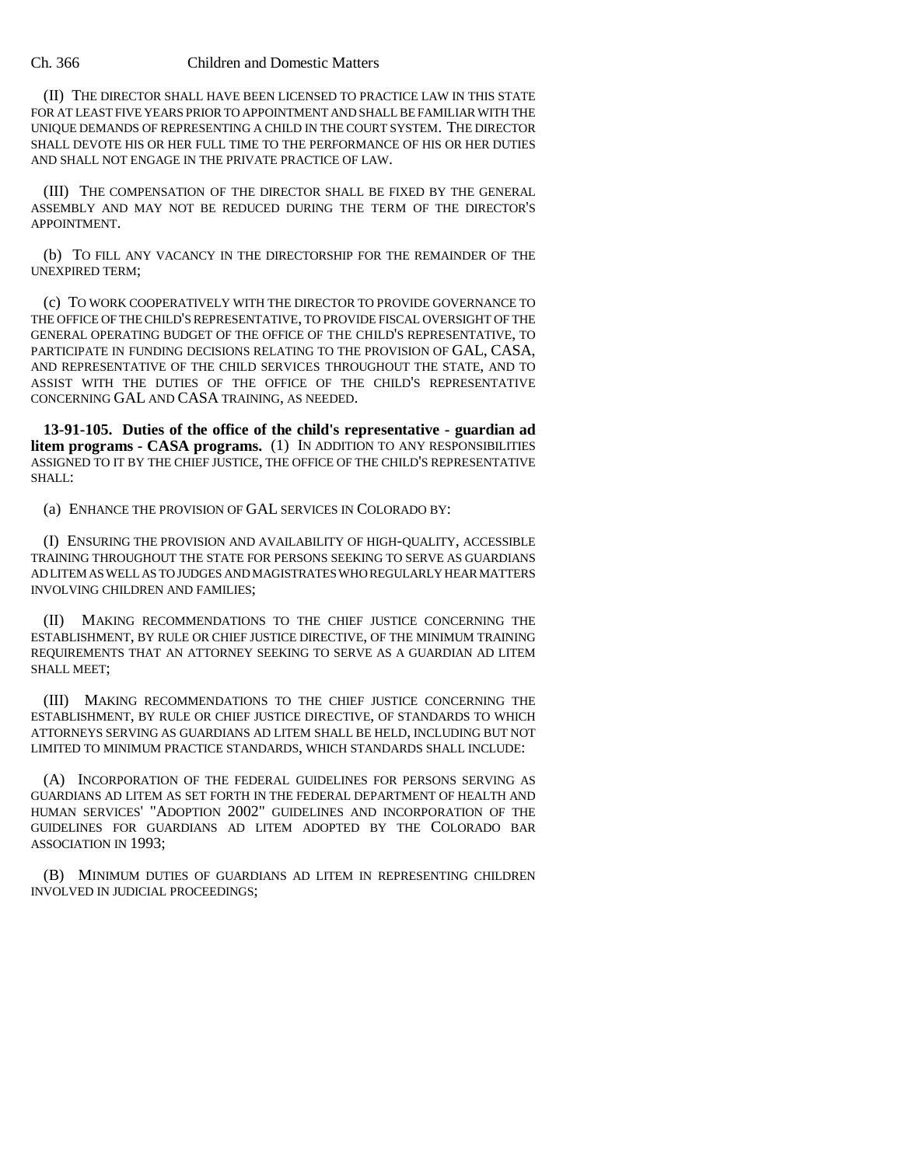(II) THE DIRECTOR SHALL HAVE BEEN LICENSED TO PRACTICE LAW IN THIS STATE FOR AT LEAST FIVE YEARS PRIOR TO APPOINTMENT AND SHALL BE FAMILIAR WITH THE UNIQUE DEMANDS OF REPRESENTING A CHILD IN THE COURT SYSTEM. THE DIRECTOR SHALL DEVOTE HIS OR HER FULL TIME TO THE PERFORMANCE OF HIS OR HER DUTIES AND SHALL NOT ENGAGE IN THE PRIVATE PRACTICE OF LAW.

(III) THE COMPENSATION OF THE DIRECTOR SHALL BE FIXED BY THE GENERAL ASSEMBLY AND MAY NOT BE REDUCED DURING THE TERM OF THE DIRECTOR'S APPOINTMENT.

(b) TO FILL ANY VACANCY IN THE DIRECTORSHIP FOR THE REMAINDER OF THE UNEXPIRED TERM;

(c) TO WORK COOPERATIVELY WITH THE DIRECTOR TO PROVIDE GOVERNANCE TO THE OFFICE OF THE CHILD'S REPRESENTATIVE, TO PROVIDE FISCAL OVERSIGHT OF THE GENERAL OPERATING BUDGET OF THE OFFICE OF THE CHILD'S REPRESENTATIVE, TO PARTICIPATE IN FUNDING DECISIONS RELATING TO THE PROVISION OF GAL, CASA, AND REPRESENTATIVE OF THE CHILD SERVICES THROUGHOUT THE STATE, AND TO ASSIST WITH THE DUTIES OF THE OFFICE OF THE CHILD'S REPRESENTATIVE CONCERNING GAL AND CASA TRAINING, AS NEEDED.

**13-91-105. Duties of the office of the child's representative - guardian ad litem programs - CASA programs.** (1) IN ADDITION TO ANY RESPONSIBILITIES ASSIGNED TO IT BY THE CHIEF JUSTICE, THE OFFICE OF THE CHILD'S REPRESENTATIVE SHALL:

(a) ENHANCE THE PROVISION OF GAL SERVICES IN COLORADO BY:

(I) ENSURING THE PROVISION AND AVAILABILITY OF HIGH-QUALITY, ACCESSIBLE TRAINING THROUGHOUT THE STATE FOR PERSONS SEEKING TO SERVE AS GUARDIANS AD LITEM AS WELL AS TO JUDGES AND MAGISTRATES WHO REGULARLY HEAR MATTERS INVOLVING CHILDREN AND FAMILIES;

(II) MAKING RECOMMENDATIONS TO THE CHIEF JUSTICE CONCERNING THE ESTABLISHMENT, BY RULE OR CHIEF JUSTICE DIRECTIVE, OF THE MINIMUM TRAINING REQUIREMENTS THAT AN ATTORNEY SEEKING TO SERVE AS A GUARDIAN AD LITEM SHALL MEET;

(III) MAKING RECOMMENDATIONS TO THE CHIEF JUSTICE CONCERNING THE ESTABLISHMENT, BY RULE OR CHIEF JUSTICE DIRECTIVE, OF STANDARDS TO WHICH ATTORNEYS SERVING AS GUARDIANS AD LITEM SHALL BE HELD, INCLUDING BUT NOT LIMITED TO MINIMUM PRACTICE STANDARDS, WHICH STANDARDS SHALL INCLUDE:

(A) INCORPORATION OF THE FEDERAL GUIDELINES FOR PERSONS SERVING AS GUARDIANS AD LITEM AS SET FORTH IN THE FEDERAL DEPARTMENT OF HEALTH AND HUMAN SERVICES' "ADOPTION 2002" GUIDELINES AND INCORPORATION OF THE GUIDELINES FOR GUARDIANS AD LITEM ADOPTED BY THE COLORADO BAR ASSOCIATION IN 1993;

(B) MINIMUM DUTIES OF GUARDIANS AD LITEM IN REPRESENTING CHILDREN INVOLVED IN JUDICIAL PROCEEDINGS;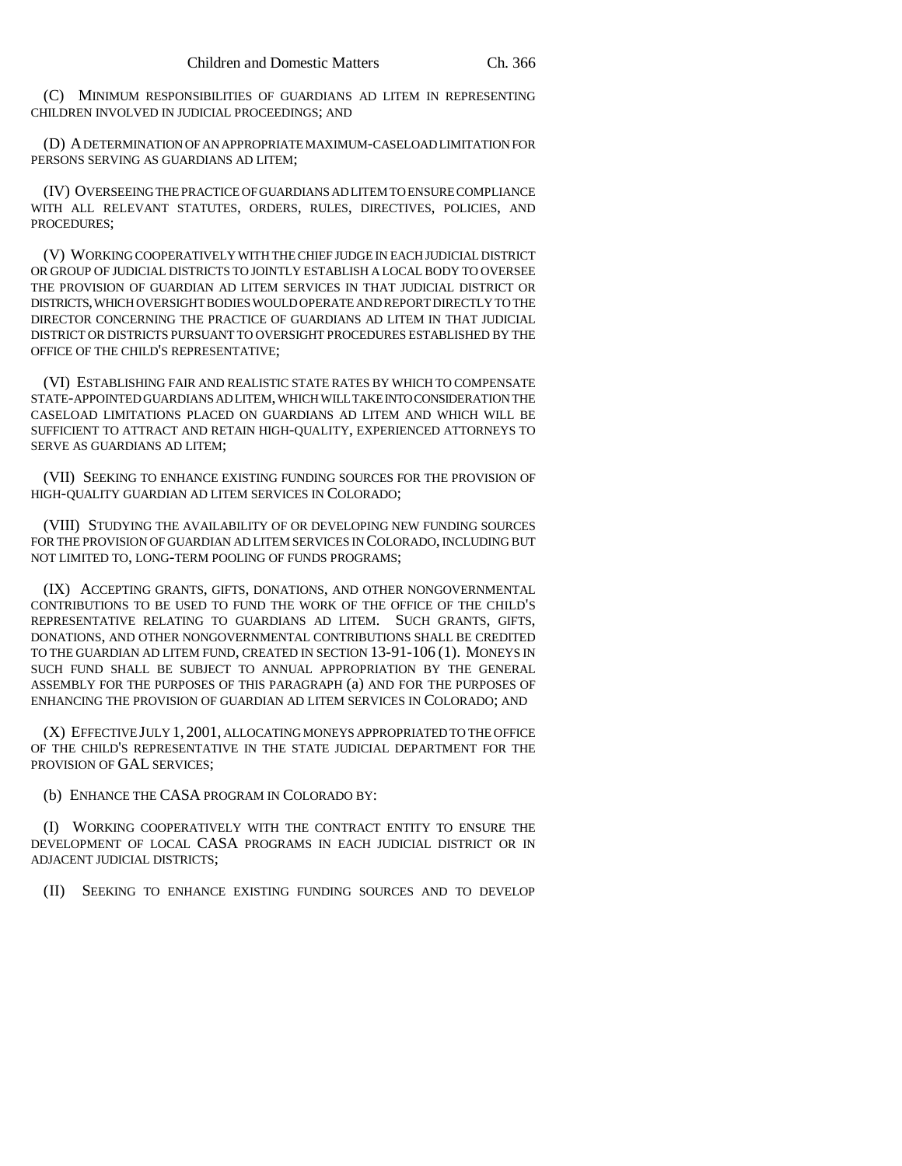(C) MINIMUM RESPONSIBILITIES OF GUARDIANS AD LITEM IN REPRESENTING CHILDREN INVOLVED IN JUDICIAL PROCEEDINGS; AND

(D) A DETERMINATION OF AN APPROPRIATE MAXIMUM-CASELOAD LIMITATION FOR PERSONS SERVING AS GUARDIANS AD LITEM;

(IV) OVERSEEING THE PRACTICE OF GUARDIANS AD LITEM TO ENSURE COMPLIANCE WITH ALL RELEVANT STATUTES, ORDERS, RULES, DIRECTIVES, POLICIES, AND PROCEDURES;

(V) WORKING COOPERATIVELY WITH THE CHIEF JUDGE IN EACH JUDICIAL DISTRICT OR GROUP OF JUDICIAL DISTRICTS TO JOINTLY ESTABLISH A LOCAL BODY TO OVERSEE THE PROVISION OF GUARDIAN AD LITEM SERVICES IN THAT JUDICIAL DISTRICT OR DISTRICTS, WHICH OVERSIGHT BODIES WOULD OPERATE AND REPORT DIRECTLY TO THE DIRECTOR CONCERNING THE PRACTICE OF GUARDIANS AD LITEM IN THAT JUDICIAL DISTRICT OR DISTRICTS PURSUANT TO OVERSIGHT PROCEDURES ESTABLISHED BY THE OFFICE OF THE CHILD'S REPRESENTATIVE;

(VI) ESTABLISHING FAIR AND REALISTIC STATE RATES BY WHICH TO COMPENSATE STATE-APPOINTED GUARDIANS AD LITEM, WHICH WILL TAKE INTO CONSIDERATION THE CASELOAD LIMITATIONS PLACED ON GUARDIANS AD LITEM AND WHICH WILL BE SUFFICIENT TO ATTRACT AND RETAIN HIGH-QUALITY, EXPERIENCED ATTORNEYS TO SERVE AS GUARDIANS AD LITEM;

(VII) SEEKING TO ENHANCE EXISTING FUNDING SOURCES FOR THE PROVISION OF HIGH-QUALITY GUARDIAN AD LITEM SERVICES IN COLORADO;

(VIII) STUDYING THE AVAILABILITY OF OR DEVELOPING NEW FUNDING SOURCES FOR THE PROVISION OF GUARDIAN AD LITEM SERVICES IN COLORADO, INCLUDING BUT NOT LIMITED TO, LONG-TERM POOLING OF FUNDS PROGRAMS;

(IX) ACCEPTING GRANTS, GIFTS, DONATIONS, AND OTHER NONGOVERNMENTAL CONTRIBUTIONS TO BE USED TO FUND THE WORK OF THE OFFICE OF THE CHILD'S REPRESENTATIVE RELATING TO GUARDIANS AD LITEM. SUCH GRANTS, GIFTS, DONATIONS, AND OTHER NONGOVERNMENTAL CONTRIBUTIONS SHALL BE CREDITED TO THE GUARDIAN AD LITEM FUND, CREATED IN SECTION 13-91-106 (1). MONEYS IN SUCH FUND SHALL BE SUBJECT TO ANNUAL APPROPRIATION BY THE GENERAL ASSEMBLY FOR THE PURPOSES OF THIS PARAGRAPH (a) AND FOR THE PURPOSES OF ENHANCING THE PROVISION OF GUARDIAN AD LITEM SERVICES IN COLORADO; AND

(X) EFFECTIVE JULY 1, 2001, ALLOCATING MONEYS APPROPRIATED TO THE OFFICE OF THE CHILD'S REPRESENTATIVE IN THE STATE JUDICIAL DEPARTMENT FOR THE PROVISION OF GAL SERVICES;

(b) ENHANCE THE CASA PROGRAM IN COLORADO BY:

(I) WORKING COOPERATIVELY WITH THE CONTRACT ENTITY TO ENSURE THE DEVELOPMENT OF LOCAL CASA PROGRAMS IN EACH JUDICIAL DISTRICT OR IN ADJACENT JUDICIAL DISTRICTS;

(II) SEEKING TO ENHANCE EXISTING FUNDING SOURCES AND TO DEVELOP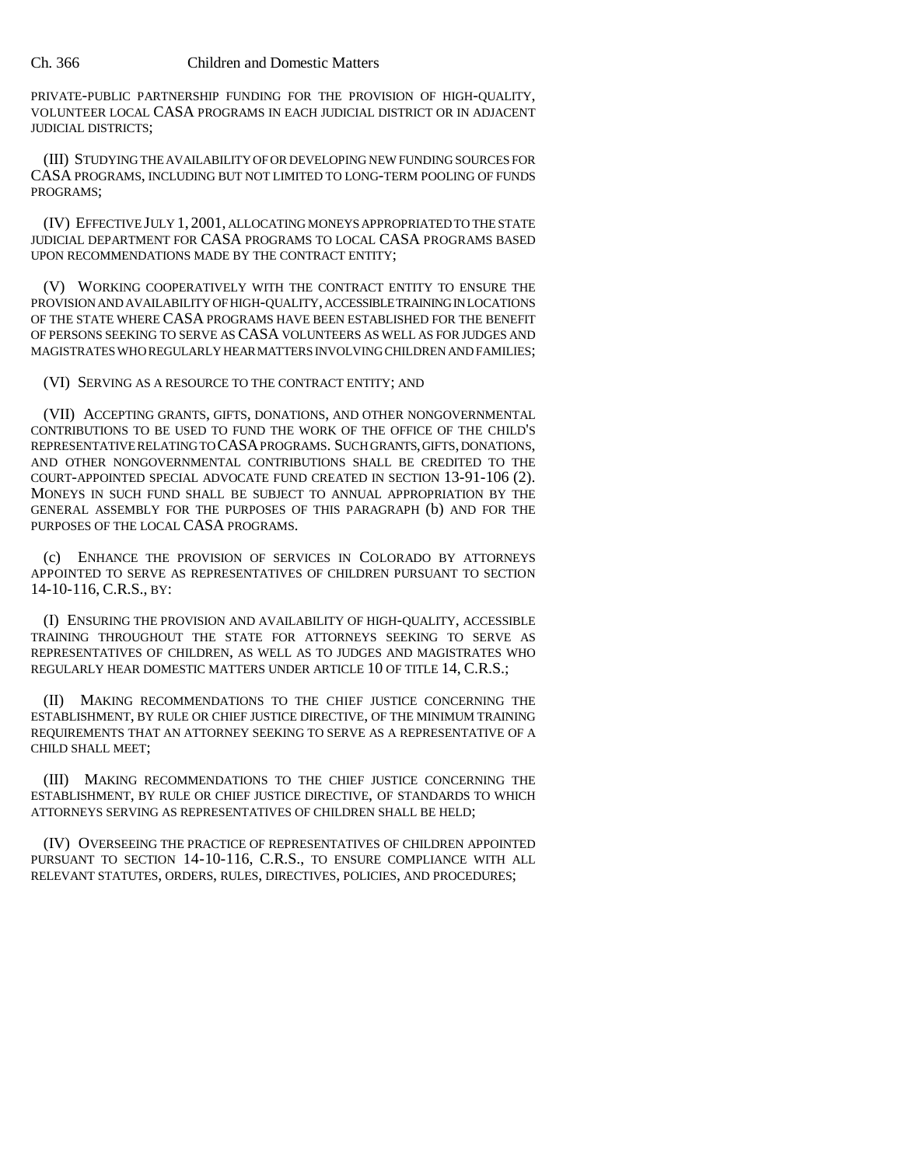PRIVATE-PUBLIC PARTNERSHIP FUNDING FOR THE PROVISION OF HIGH-QUALITY, VOLUNTEER LOCAL CASA PROGRAMS IN EACH JUDICIAL DISTRICT OR IN ADJACENT JUDICIAL DISTRICTS;

(III) STUDYING THE AVAILABILITY OF OR DEVELOPING NEW FUNDING SOURCES FOR CASA PROGRAMS, INCLUDING BUT NOT LIMITED TO LONG-TERM POOLING OF FUNDS PROGRAMS;

(IV) EFFECTIVE JULY 1, 2001, ALLOCATING MONEYS APPROPRIATED TO THE STATE JUDICIAL DEPARTMENT FOR CASA PROGRAMS TO LOCAL CASA PROGRAMS BASED UPON RECOMMENDATIONS MADE BY THE CONTRACT ENTITY;

(V) WORKING COOPERATIVELY WITH THE CONTRACT ENTITY TO ENSURE THE PROVISION AND AVAILABILITY OF HIGH-QUALITY, ACCESSIBLE TRAINING IN LOCATIONS OF THE STATE WHERE CASA PROGRAMS HAVE BEEN ESTABLISHED FOR THE BENEFIT OF PERSONS SEEKING TO SERVE AS CASA VOLUNTEERS AS WELL AS FOR JUDGES AND MAGISTRATES WHO REGULARLY HEAR MATTERS INVOLVING CHILDREN AND FAMILIES;

(VI) SERVING AS A RESOURCE TO THE CONTRACT ENTITY; AND

(VII) ACCEPTING GRANTS, GIFTS, DONATIONS, AND OTHER NONGOVERNMENTAL CONTRIBUTIONS TO BE USED TO FUND THE WORK OF THE OFFICE OF THE CHILD'S REPRESENTATIVE RELATING TO CASA PROGRAMS. SUCH GRANTS, GIFTS, DONATIONS, AND OTHER NONGOVERNMENTAL CONTRIBUTIONS SHALL BE CREDITED TO THE COURT-APPOINTED SPECIAL ADVOCATE FUND CREATED IN SECTION 13-91-106 (2). MONEYS IN SUCH FUND SHALL BE SUBJECT TO ANNUAL APPROPRIATION BY THE GENERAL ASSEMBLY FOR THE PURPOSES OF THIS PARAGRAPH (b) AND FOR THE PURPOSES OF THE LOCAL CASA PROGRAMS.

(c) ENHANCE THE PROVISION OF SERVICES IN COLORADO BY ATTORNEYS APPOINTED TO SERVE AS REPRESENTATIVES OF CHILDREN PURSUANT TO SECTION 14-10-116, C.R.S., BY:

(I) ENSURING THE PROVISION AND AVAILABILITY OF HIGH-QUALITY, ACCESSIBLE TRAINING THROUGHOUT THE STATE FOR ATTORNEYS SEEKING TO SERVE AS REPRESENTATIVES OF CHILDREN, AS WELL AS TO JUDGES AND MAGISTRATES WHO REGULARLY HEAR DOMESTIC MATTERS UNDER ARTICLE 10 OF TITLE 14, C.R.S.;

(II) MAKING RECOMMENDATIONS TO THE CHIEF JUSTICE CONCERNING THE ESTABLISHMENT, BY RULE OR CHIEF JUSTICE DIRECTIVE, OF THE MINIMUM TRAINING REQUIREMENTS THAT AN ATTORNEY SEEKING TO SERVE AS A REPRESENTATIVE OF A CHILD SHALL MEET;

(III) MAKING RECOMMENDATIONS TO THE CHIEF JUSTICE CONCERNING THE ESTABLISHMENT, BY RULE OR CHIEF JUSTICE DIRECTIVE, OF STANDARDS TO WHICH ATTORNEYS SERVING AS REPRESENTATIVES OF CHILDREN SHALL BE HELD;

(IV) OVERSEEING THE PRACTICE OF REPRESENTATIVES OF CHILDREN APPOINTED PURSUANT TO SECTION 14-10-116, C.R.S., TO ENSURE COMPLIANCE WITH ALL RELEVANT STATUTES, ORDERS, RULES, DIRECTIVES, POLICIES, AND PROCEDURES;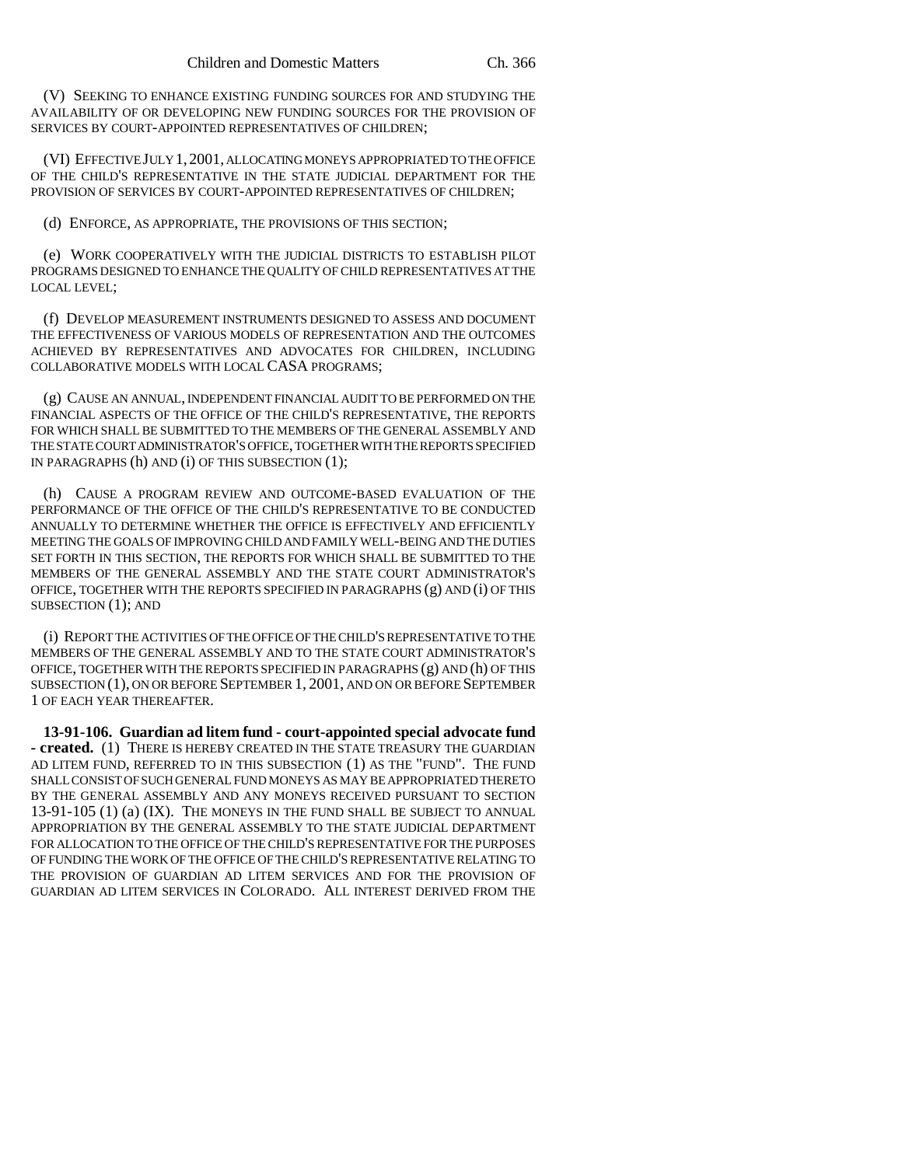(V) SEEKING TO ENHANCE EXISTING FUNDING SOURCES FOR AND STUDYING THE AVAILABILITY OF OR DEVELOPING NEW FUNDING SOURCES FOR THE PROVISION OF SERVICES BY COURT-APPOINTED REPRESENTATIVES OF CHILDREN;

(VI) EFFECTIVE JULY 1,2001, ALLOCATING MONEYS APPROPRIATED TO THE OFFICE OF THE CHILD'S REPRESENTATIVE IN THE STATE JUDICIAL DEPARTMENT FOR THE PROVISION OF SERVICES BY COURT-APPOINTED REPRESENTATIVES OF CHILDREN;

(d) ENFORCE, AS APPROPRIATE, THE PROVISIONS OF THIS SECTION;

(e) WORK COOPERATIVELY WITH THE JUDICIAL DISTRICTS TO ESTABLISH PILOT PROGRAMS DESIGNED TO ENHANCE THE QUALITY OF CHILD REPRESENTATIVES AT THE LOCAL LEVEL;

(f) DEVELOP MEASUREMENT INSTRUMENTS DESIGNED TO ASSESS AND DOCUMENT THE EFFECTIVENESS OF VARIOUS MODELS OF REPRESENTATION AND THE OUTCOMES ACHIEVED BY REPRESENTATIVES AND ADVOCATES FOR CHILDREN, INCLUDING COLLABORATIVE MODELS WITH LOCAL CASA PROGRAMS;

(g) CAUSE AN ANNUAL, INDEPENDENT FINANCIAL AUDIT TO BE PERFORMED ON THE FINANCIAL ASPECTS OF THE OFFICE OF THE CHILD'S REPRESENTATIVE, THE REPORTS FOR WHICH SHALL BE SUBMITTED TO THE MEMBERS OF THE GENERAL ASSEMBLY AND THE STATE COURT ADMINISTRATOR'S OFFICE, TOGETHER WITH THE REPORTS SPECIFIED IN PARAGRAPHS (h) AND (i) OF THIS SUBSECTION (1);

(h) CAUSE A PROGRAM REVIEW AND OUTCOME-BASED EVALUATION OF THE PERFORMANCE OF THE OFFICE OF THE CHILD'S REPRESENTATIVE TO BE CONDUCTED ANNUALLY TO DETERMINE WHETHER THE OFFICE IS EFFECTIVELY AND EFFICIENTLY MEETING THE GOALS OF IMPROVING CHILD AND FAMILY WELL-BEING AND THE DUTIES SET FORTH IN THIS SECTION, THE REPORTS FOR WHICH SHALL BE SUBMITTED TO THE MEMBERS OF THE GENERAL ASSEMBLY AND THE STATE COURT ADMINISTRATOR'S OFFICE, TOGETHER WITH THE REPORTS SPECIFIED IN PARAGRAPHS (g) AND (i) OF THIS SUBSECTION (1); AND

(i) REPORT THE ACTIVITIES OF THE OFFICE OF THE CHILD'S REPRESENTATIVE TO THE MEMBERS OF THE GENERAL ASSEMBLY AND TO THE STATE COURT ADMINISTRATOR'S OFFICE, TOGETHER WITH THE REPORTS SPECIFIED IN PARAGRAPHS (g) AND (h) OF THIS SUBSECTION (1), ON OR BEFORE SEPTEMBER 1, 2001, AND ON OR BEFORE SEPTEMBER 1 OF EACH YEAR THEREAFTER.

**13-91-106. Guardian ad litem fund - court-appointed special advocate fund - created.** (1) THERE IS HEREBY CREATED IN THE STATE TREASURY THE GUARDIAN AD LITEM FUND, REFERRED TO IN THIS SUBSECTION (1) AS THE "FUND". THE FUND SHALL CONSIST OF SUCH GENERAL FUND MONEYS AS MAY BE APPROPRIATED THERETO BY THE GENERAL ASSEMBLY AND ANY MONEYS RECEIVED PURSUANT TO SECTION 13-91-105 (1) (a) (IX). THE MONEYS IN THE FUND SHALL BE SUBJECT TO ANNUAL APPROPRIATION BY THE GENERAL ASSEMBLY TO THE STATE JUDICIAL DEPARTMENT FOR ALLOCATION TO THE OFFICE OF THE CHILD'S REPRESENTATIVE FOR THE PURPOSES OF FUNDING THE WORK OF THE OFFICE OF THE CHILD'S REPRESENTATIVE RELATING TO THE PROVISION OF GUARDIAN AD LITEM SERVICES AND FOR THE PROVISION OF GUARDIAN AD LITEM SERVICES IN COLORADO. ALL INTEREST DERIVED FROM THE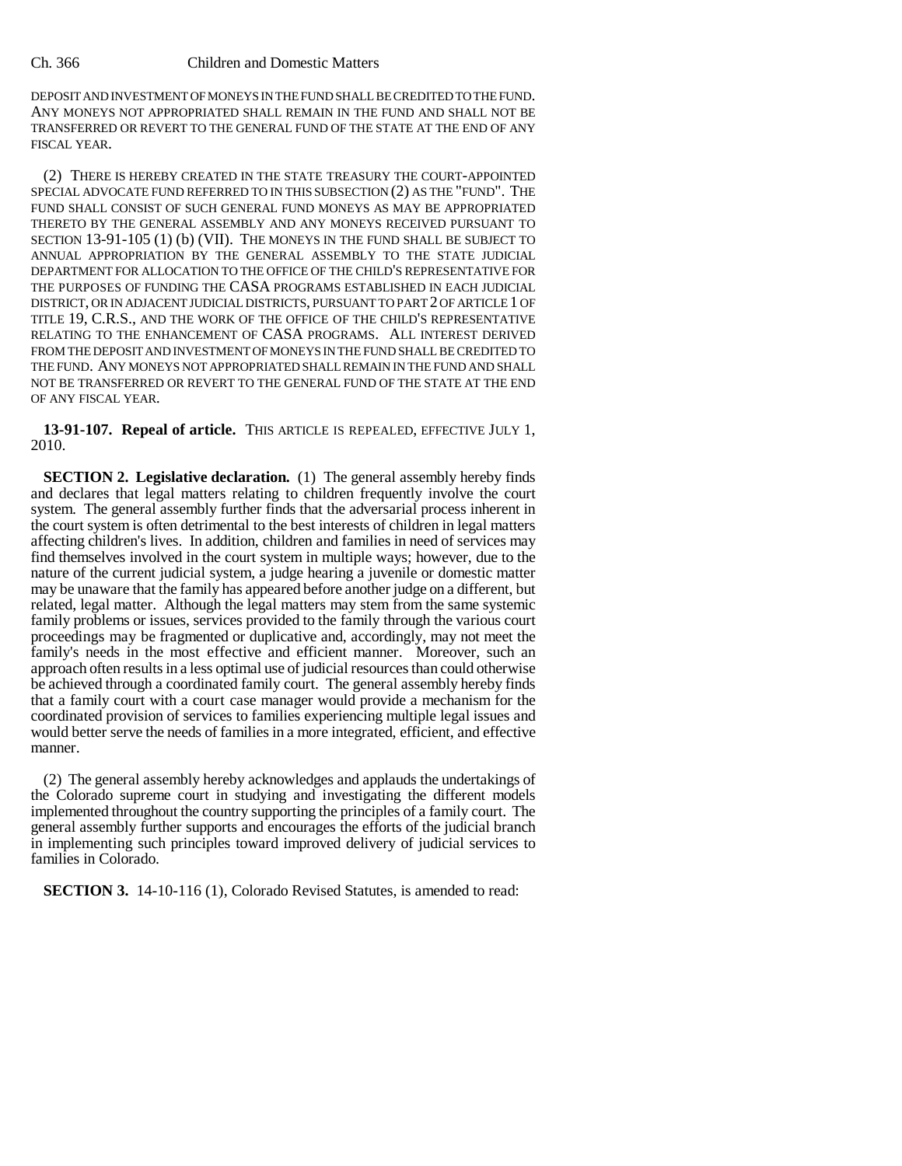DEPOSIT AND INVESTMENT OF MONEYS IN THE FUND SHALL BE CREDITED TO THE FUND. ANY MONEYS NOT APPROPRIATED SHALL REMAIN IN THE FUND AND SHALL NOT BE TRANSFERRED OR REVERT TO THE GENERAL FUND OF THE STATE AT THE END OF ANY FISCAL YEAR.

(2) THERE IS HEREBY CREATED IN THE STATE TREASURY THE COURT-APPOINTED SPECIAL ADVOCATE FUND REFERRED TO IN THIS SUBSECTION (2) AS THE "FUND". THE FUND SHALL CONSIST OF SUCH GENERAL FUND MONEYS AS MAY BE APPROPRIATED THERETO BY THE GENERAL ASSEMBLY AND ANY MONEYS RECEIVED PURSUANT TO SECTION 13-91-105 (1) (b) (VII). THE MONEYS IN THE FUND SHALL BE SUBJECT TO ANNUAL APPROPRIATION BY THE GENERAL ASSEMBLY TO THE STATE JUDICIAL DEPARTMENT FOR ALLOCATION TO THE OFFICE OF THE CHILD'S REPRESENTATIVE FOR THE PURPOSES OF FUNDING THE CASA PROGRAMS ESTABLISHED IN EACH JUDICIAL DISTRICT, OR IN ADJACENT JUDICIAL DISTRICTS, PURSUANT TO PART 2 OF ARTICLE 1 OF TITLE 19, C.R.S., AND THE WORK OF THE OFFICE OF THE CHILD'S REPRESENTATIVE RELATING TO THE ENHANCEMENT OF CASA PROGRAMS. ALL INTEREST DERIVED FROM THE DEPOSIT AND INVESTMENT OF MONEYS IN THE FUND SHALL BE CREDITED TO THE FUND. ANY MONEYS NOT APPROPRIATED SHALL REMAIN IN THE FUND AND SHALL NOT BE TRANSFERRED OR REVERT TO THE GENERAL FUND OF THE STATE AT THE END OF ANY FISCAL YEAR.

**13-91-107. Repeal of article.** THIS ARTICLE IS REPEALED, EFFECTIVE JULY 1, 2010.

**SECTION 2. Legislative declaration.** (1) The general assembly hereby finds and declares that legal matters relating to children frequently involve the court system. The general assembly further finds that the adversarial process inherent in the court system is often detrimental to the best interests of children in legal matters affecting children's lives. In addition, children and families in need of services may find themselves involved in the court system in multiple ways; however, due to the nature of the current judicial system, a judge hearing a juvenile or domestic matter may be unaware that the family has appeared before another judge on a different, but related, legal matter. Although the legal matters may stem from the same systemic family problems or issues, services provided to the family through the various court proceedings may be fragmented or duplicative and, accordingly, may not meet the family's needs in the most effective and efficient manner. Moreover, such an approach often results in a less optimal use of judicial resources than could otherwise be achieved through a coordinated family court. The general assembly hereby finds that a family court with a court case manager would provide a mechanism for the coordinated provision of services to families experiencing multiple legal issues and would better serve the needs of families in a more integrated, efficient, and effective manner.

(2) The general assembly hereby acknowledges and applauds the undertakings of the Colorado supreme court in studying and investigating the different models implemented throughout the country supporting the principles of a family court. The general assembly further supports and encourages the efforts of the judicial branch in implementing such principles toward improved delivery of judicial services to families in Colorado.

**SECTION 3.** 14-10-116 (1), Colorado Revised Statutes, is amended to read: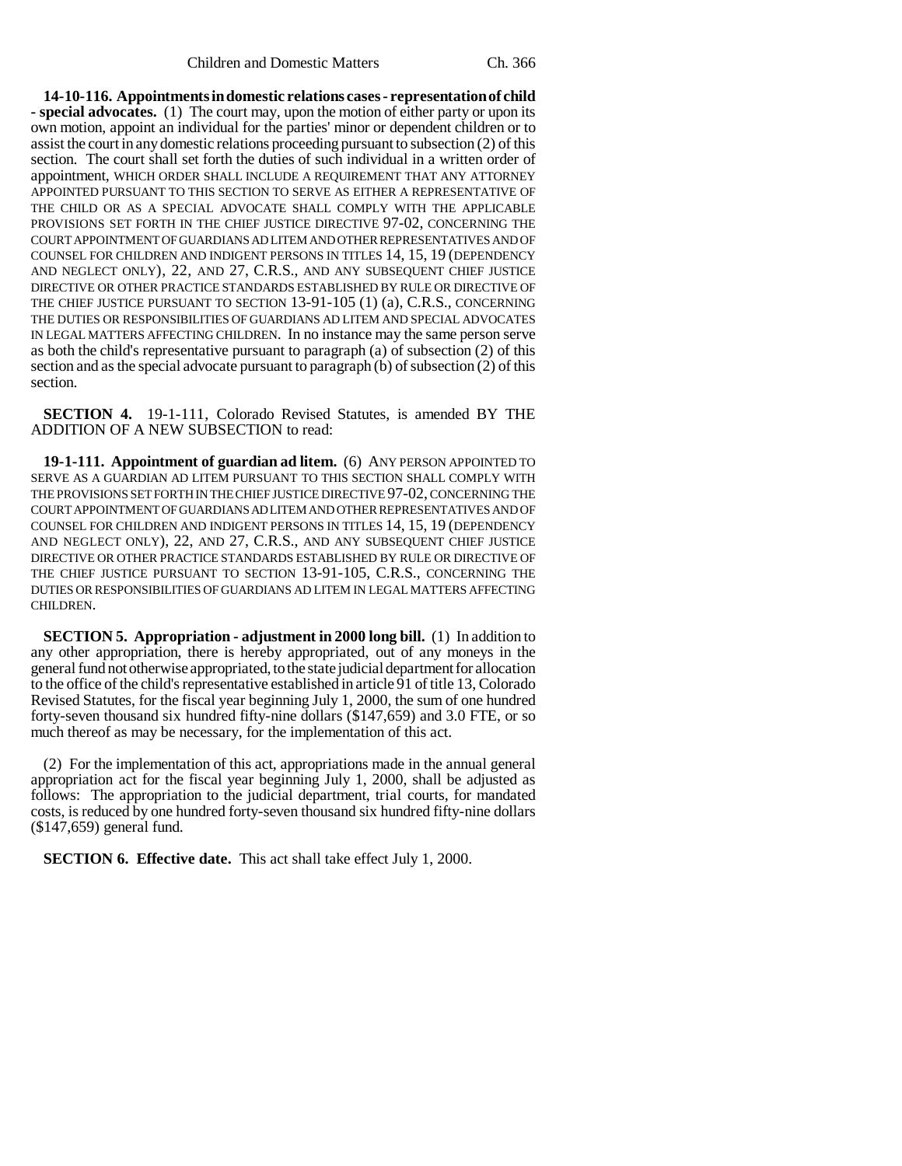**14-10-116. Appointments in domestic relations cases - representation of child - special advocates.** (1) The court may, upon the motion of either party or upon its own motion, appoint an individual for the parties' minor or dependent children or to assist the court in any domestic relations proceeding pursuant to subsection (2) of this section. The court shall set forth the duties of such individual in a written order of appointment, WHICH ORDER SHALL INCLUDE A REQUIREMENT THAT ANY ATTORNEY APPOINTED PURSUANT TO THIS SECTION TO SERVE AS EITHER A REPRESENTATIVE OF THE CHILD OR AS A SPECIAL ADVOCATE SHALL COMPLY WITH THE APPLICABLE PROVISIONS SET FORTH IN THE CHIEF JUSTICE DIRECTIVE 97-02, CONCERNING THE COURT APPOINTMENT OF GUARDIANS AD LITEM AND OTHER REPRESENTATIVES AND OF COUNSEL FOR CHILDREN AND INDIGENT PERSONS IN TITLES 14, 15, 19 (DEPENDENCY AND NEGLECT ONLY), 22, AND 27, C.R.S., AND ANY SUBSEQUENT CHIEF JUSTICE DIRECTIVE OR OTHER PRACTICE STANDARDS ESTABLISHED BY RULE OR DIRECTIVE OF THE CHIEF JUSTICE PURSUANT TO SECTION 13-91-105 (1) (a), C.R.S., CONCERNING THE DUTIES OR RESPONSIBILITIES OF GUARDIANS AD LITEM AND SPECIAL ADVOCATES IN LEGAL MATTERS AFFECTING CHILDREN. In no instance may the same person serve as both the child's representative pursuant to paragraph (a) of subsection (2) of this section and as the special advocate pursuant to paragraph (b) of subsection (2) of this section.

**SECTION 4.** 19-1-111, Colorado Revised Statutes, is amended BY THE ADDITION OF A NEW SUBSECTION to read:

**19-1-111. Appointment of guardian ad litem.** (6) ANY PERSON APPOINTED TO SERVE AS A GUARDIAN AD LITEM PURSUANT TO THIS SECTION SHALL COMPLY WITH THE PROVISIONS SET FORTH IN THE CHIEF JUSTICE DIRECTIVE 97-02, CONCERNING THE COURT APPOINTMENT OF GUARDIANS AD LITEM AND OTHER REPRESENTATIVES AND OF COUNSEL FOR CHILDREN AND INDIGENT PERSONS IN TITLES 14, 15, 19 (DEPENDENCY AND NEGLECT ONLY), 22, AND 27, C.R.S., AND ANY SUBSEQUENT CHIEF JUSTICE DIRECTIVE OR OTHER PRACTICE STANDARDS ESTABLISHED BY RULE OR DIRECTIVE OF THE CHIEF JUSTICE PURSUANT TO SECTION 13-91-105, C.R.S., CONCERNING THE DUTIES OR RESPONSIBILITIES OF GUARDIANS AD LITEM IN LEGAL MATTERS AFFECTING CHILDREN.

**SECTION 5. Appropriation - adjustment in 2000 long bill.** (1) In addition to any other appropriation, there is hereby appropriated, out of any moneys in the general fund not otherwise appropriated, to the state judicial department for allocation to the office of the child's representative established in article 91 of title 13, Colorado Revised Statutes, for the fiscal year beginning July 1, 2000, the sum of one hundred forty-seven thousand six hundred fifty-nine dollars (\$147,659) and 3.0 FTE, or so much thereof as may be necessary, for the implementation of this act.

(2) For the implementation of this act, appropriations made in the annual general appropriation act for the fiscal year beginning July 1, 2000, shall be adjusted as follows: The appropriation to the judicial department, trial courts, for mandated costs, is reduced by one hundred forty-seven thousand six hundred fifty-nine dollars (\$147,659) general fund.

**SECTION 6. Effective date.** This act shall take effect July 1, 2000.